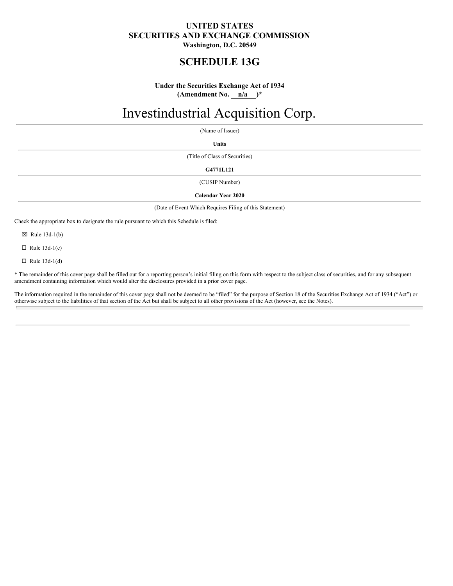## **UNITED STATES SECURITIES AND EXCHANGE COMMISSION Washington, D.C. 20549**

# **SCHEDULE 13G**

### **Under the Securities Exchange Act of 1934 (Amendment No. n/a )\***

# Investindustrial Acquisition Corp.

(Name of Issuer)

**Units**

(Title of Class of Securities)

#### **G4771L121**

(CUSIP Number)

#### **Calendar Year 2020**

(Date of Event Which Requires Filing of this Statement)

Check the appropriate box to designate the rule pursuant to which this Schedule is filed:

 $\boxtimes$  Rule 13d-1(b)

 $\Box$  Rule 13d-1(c)

 $\Box$  Rule 13d-1(d)

\* The remainder of this cover page shall be filled out for a reporting person's initial filing on this form with respect to the subject class of securities, and for any subsequent amendment containing information which would alter the disclosures provided in a prior cover page.

The information required in the remainder of this cover page shall not be deemed to be "filed" for the purpose of Section 18 of the Securities Exchange Act of 1934 ("Act") or otherwise subject to the liabilities of that section of the Act but shall be subject to all other provisions of the Act (however, see the Notes).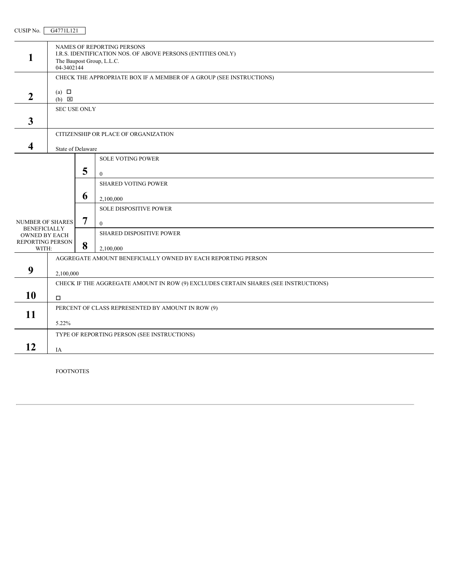| CUSIP No. 1 | G47711.121 |
|-------------|------------|
|             |            |

|                                                 | NAMES OF REPORTING PERSONS<br>I.R.S. IDENTIFICATION NOS. OF ABOVE PERSONS (ENTITIES ONLY)<br>The Baupost Group, L.L.C.<br>04-3402144 |                |                                                              |
|-------------------------------------------------|--------------------------------------------------------------------------------------------------------------------------------------|----------------|--------------------------------------------------------------|
|                                                 | CHECK THE APPROPRIATE BOX IF A MEMBER OF A GROUP (SEE INSTRUCTIONS)                                                                  |                |                                                              |
| $\overline{2}$                                  | (a) $\Box$<br>$(b)$ $\boxed{\times}$                                                                                                 |                |                                                              |
| 3                                               | <b>SEC USE ONLY</b>                                                                                                                  |                |                                                              |
|                                                 |                                                                                                                                      |                | CITIZENSHIP OR PLACE OF ORGANIZATION                         |
| 4                                               | State of Delaware                                                                                                                    |                |                                                              |
|                                                 |                                                                                                                                      |                | <b>SOLE VOTING POWER</b>                                     |
|                                                 |                                                                                                                                      | 5              | $\theta$                                                     |
|                                                 |                                                                                                                                      |                | <b>SHARED VOTING POWER</b>                                   |
|                                                 |                                                                                                                                      | 6              | 2,100,000                                                    |
|                                                 |                                                                                                                                      |                | <b>SOLE DISPOSITIVE POWER</b>                                |
| <b>NUMBER OF SHARES</b><br><b>BENEFICIALLY</b>  |                                                                                                                                      | $\overline{7}$ | $\mathbf{0}$                                                 |
| <b>OWNED BY EACH</b><br><b>REPORTING PERSON</b> |                                                                                                                                      |                | SHARED DISPOSITIVE POWER                                     |
| WITH:                                           |                                                                                                                                      | 8              | 2,100,000                                                    |
|                                                 |                                                                                                                                      |                | AGGREGATE AMOUNT BENEFICIALLY OWNED BY EACH REPORTING PERSON |
| 9                                               | 2,100,000                                                                                                                            |                |                                                              |
|                                                 | CHECK IF THE AGGREGATE AMOUNT IN ROW (9) EXCLUDES CERTAIN SHARES (SEE INSTRUCTIONS)                                                  |                |                                                              |
| 10                                              | $\Box$                                                                                                                               |                |                                                              |
| 11                                              | PERCENT OF CLASS REPRESENTED BY AMOUNT IN ROW (9)                                                                                    |                |                                                              |
|                                                 | 5.22%                                                                                                                                |                |                                                              |
|                                                 |                                                                                                                                      |                | TYPE OF REPORTING PERSON (SEE INSTRUCTIONS)                  |
| 12                                              | IA                                                                                                                                   |                |                                                              |

FOOTNOTES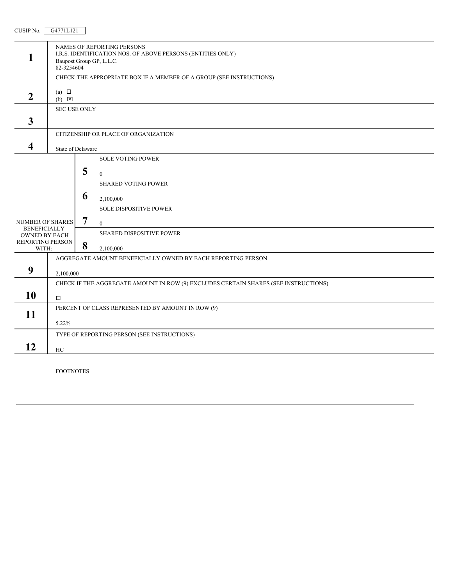| CHSIP No. 1 | G4771L121 |
|-------------|-----------|
|             |           |

|                                             | NAMES OF REPORTING PERSONS<br>I.R.S. IDENTIFICATION NOS. OF ABOVE PERSONS (ENTITIES ONLY)<br>Baupost Group GP, L.L.C.<br>82-3254604 |   |                                                                     |
|---------------------------------------------|-------------------------------------------------------------------------------------------------------------------------------------|---|---------------------------------------------------------------------|
|                                             |                                                                                                                                     |   | CHECK THE APPROPRIATE BOX IF A MEMBER OF A GROUP (SEE INSTRUCTIONS) |
| $\overline{2}$                              | (a) $\Box$<br>$(b)$ $\boxtimes$                                                                                                     |   |                                                                     |
|                                             | <b>SEC USE ONLY</b>                                                                                                                 |   |                                                                     |
| 3                                           |                                                                                                                                     |   |                                                                     |
|                                             |                                                                                                                                     |   | CITIZENSHIP OR PLACE OF ORGANIZATION                                |
| 4                                           |                                                                                                                                     |   |                                                                     |
|                                             | <b>State of Delaware</b>                                                                                                            |   |                                                                     |
|                                             |                                                                                                                                     |   | <b>SOLE VOTING POWER</b>                                            |
|                                             |                                                                                                                                     | 5 | $\mathbf{0}$                                                        |
|                                             |                                                                                                                                     |   | SHARED VOTING POWER                                                 |
|                                             |                                                                                                                                     |   |                                                                     |
|                                             |                                                                                                                                     | 6 | 2,100,000                                                           |
|                                             |                                                                                                                                     |   | <b>SOLE DISPOSITIVE POWER</b>                                       |
| <b>NUMBER OF SHARES</b>                     |                                                                                                                                     | 7 | $\theta$                                                            |
| <b>BENEFICIALLY</b><br><b>OWNED BY EACH</b> |                                                                                                                                     |   | SHARED DISPOSITIVE POWER                                            |
| REPORTING PERSON<br>WITH:                   |                                                                                                                                     | 8 | 2,100,000                                                           |
|                                             |                                                                                                                                     |   | AGGREGATE AMOUNT BENEFICIALLY OWNED BY EACH REPORTING PERSON        |
| 9                                           | 2,100,000                                                                                                                           |   |                                                                     |
|                                             | CHECK IF THE AGGREGATE AMOUNT IN ROW (9) EXCLUDES CERTAIN SHARES (SEE INSTRUCTIONS)                                                 |   |                                                                     |
| 10                                          |                                                                                                                                     |   |                                                                     |
|                                             | $\Box$<br>PERCENT OF CLASS REPRESENTED BY AMOUNT IN ROW (9)                                                                         |   |                                                                     |
| 11                                          |                                                                                                                                     |   |                                                                     |
|                                             | 5.22%                                                                                                                               |   |                                                                     |
|                                             | TYPE OF REPORTING PERSON (SEE INSTRUCTIONS)                                                                                         |   |                                                                     |
| 12                                          |                                                                                                                                     |   |                                                                     |
|                                             | HC                                                                                                                                  |   |                                                                     |

FOOTNOTES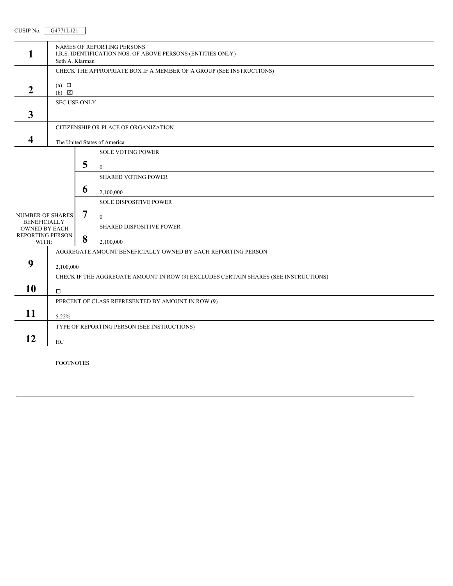| 1                                           | NAMES OF REPORTING PERSONS<br>I.R.S. IDENTIFICATION NOS. OF ABOVE PERSONS (ENTITIES ONLY)<br>Seth A. Klarman |   |                                                                                     |
|---------------------------------------------|--------------------------------------------------------------------------------------------------------------|---|-------------------------------------------------------------------------------------|
|                                             | CHECK THE APPROPRIATE BOX IF A MEMBER OF A GROUP (SEE INSTRUCTIONS)                                          |   |                                                                                     |
| $\overline{2}$                              | (a) $\Box$<br>$(b)$ $\boxtimes$                                                                              |   |                                                                                     |
|                                             | <b>SEC USE ONLY</b>                                                                                          |   |                                                                                     |
| 3                                           |                                                                                                              |   |                                                                                     |
|                                             |                                                                                                              |   | CITIZENSHIP OR PLACE OF ORGANIZATION                                                |
| 4                                           |                                                                                                              |   | The United States of America                                                        |
|                                             |                                                                                                              |   | <b>SOLE VOTING POWER</b>                                                            |
|                                             |                                                                                                              | 5 | $\mathbf{0}$                                                                        |
|                                             |                                                                                                              |   | <b>SHARED VOTING POWER</b>                                                          |
|                                             |                                                                                                              | 6 | 2,100,000                                                                           |
|                                             |                                                                                                              |   | <b>SOLE DISPOSITIVE POWER</b>                                                       |
| <b>NUMBER OF SHARES</b>                     |                                                                                                              | 7 | $\theta$                                                                            |
| <b>BENEFICIALLY</b><br><b>OWNED BY EACH</b> |                                                                                                              |   | SHARED DISPOSITIVE POWER                                                            |
| <b>REPORTING PERSON</b><br>WITH:            |                                                                                                              | 8 | 2,100,000                                                                           |
|                                             | AGGREGATE AMOUNT BENEFICIALLY OWNED BY EACH REPORTING PERSON                                                 |   |                                                                                     |
| 9                                           | 2,100,000                                                                                                    |   |                                                                                     |
|                                             |                                                                                                              |   | CHECK IF THE AGGREGATE AMOUNT IN ROW (9) EXCLUDES CERTAIN SHARES (SEE INSTRUCTIONS) |
| 10                                          | $\Box$                                                                                                       |   |                                                                                     |
|                                             | PERCENT OF CLASS REPRESENTED BY AMOUNT IN ROW (9)                                                            |   |                                                                                     |
| 11                                          | 5.22%                                                                                                        |   |                                                                                     |
|                                             |                                                                                                              |   | TYPE OF REPORTING PERSON (SEE INSTRUCTIONS)                                         |
| 12                                          | HC                                                                                                           |   |                                                                                     |

FOOTNOTES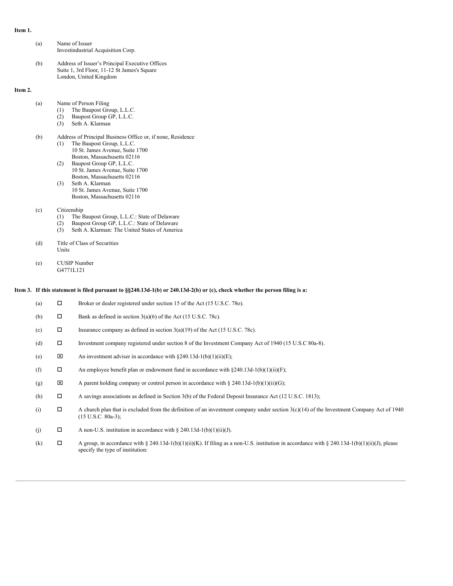#### **Item 1.**

| (a) | Name of Issuer                     |
|-----|------------------------------------|
|     | Investindustrial Acquisition Corp. |

(b) Address of Issuer's Principal Executive Offices Suite 1, 3rd Floor, 11-12 St James's Square London, United Kingdom

#### **Item 2.**

- (a) Name of Person Filing
	- (1) The Baupost Group, L.L.C.<br>(2) Baupost Group GP, L.L.C.
	- Baupost Group GP, L.L.C.
	- (3) Seth A. Klarman
- (b) Address of Principal Business Office or, if none, Residence (1) The Baupost Group, L.L.C. 10 St. James Avenue, Suite 1700 Boston, Massachusetts 02116
	- (2) Baupost Group GP, L.L.C. 10 St. James Avenue, Suite 1700 Boston, Massachusetts 02116
	- (3) Seth A. Klarman 10 St. James Avenue, Suite 1700 Boston, Massachusetts 02116
- (c) Citizenship
	- (1) The Baupost Group, L.L.C.: State of Delaware
	- (2) Baupost Group GP, L.L.C.: State of Delaware
	- (3) Seth A. Klarman: The United States of America
- (d) Title of Class of Securities Units
- (e) CUSIP Number G4771L121
	-

#### Item 3. If this statement is filed pursuant to §§240.13d-1(b) or 240.13d-2(b) or (c), check whether the person filing is a:

| (a) | П      | Broker or dealer registered under section 15 of the Act (15 U.S.C. 780).                                                                                                          |
|-----|--------|-----------------------------------------------------------------------------------------------------------------------------------------------------------------------------------|
| (b) | $\Box$ | Bank as defined in section $3(a)(6)$ of the Act (15 U.S.C. 78c).                                                                                                                  |
| (c) | П      | Insurance company as defined in section $3(a)(19)$ of the Act (15 U.S.C. 78c).                                                                                                    |
| (d) | $\Box$ | Investment company registered under section 8 of the Investment Company Act of 1940 (15 U.S.C 80a-8).                                                                             |
| (e) | ×      | An investment adviser in accordance with $\S 240.13d-1(b)(1)(ii)(E)$ ;                                                                                                            |
| (f) | П      | An employee benefit plan or endowment fund in accordance with $\S 240.13d-1(b)(1)(ii)(F)$ ;                                                                                       |
| (g) | ⊠      | A parent holding company or control person in accordance with $\S 240.13d-1(b)(1)(ii)(G);$                                                                                        |
| (h) | П      | A savings associations as defined in Section 3(b) of the Federal Deposit Insurance Act (12 U.S.C. 1813);                                                                          |
| (i) | П      | A church plan that is excluded from the definition of an investment company under section $3(c)(14)$ of the Investment Company Act of 1940<br>$(15 \text{ U.S.C. } 80a-3);$       |
| (i) | П      | A non-U.S. institution in accordance with $\S$ 240.13d-1(b)(1)(ii)(J).                                                                                                            |
| (k) | П      | A group, in accordance with § 240.13d-1(b)(1)(ii)(K). If filing as a non-U.S. institution in accordance with § 240.13d-1(b)(1)(ii)(J), please<br>specify the type of institution: |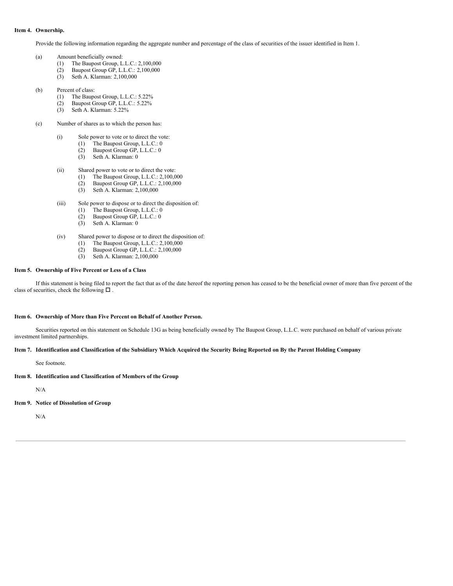#### **Item 4. Ownership.**

Provide the following information regarding the aggregate number and percentage of the class of securities of the issuer identified in Item 1.

- (a) Amount beneficially owned:
	- (1) The Baupost Group, L.L.C.: 2,100,000
	- (2) Baupost Group GP, L.L.C.: 2,100,000
	- (3) Seth A. Klarman: 2,100,000
- (b) Percent of class:
	- (1) The Baupost Group, L.L.C.: 5.22%
	- (2) Baupost Group GP, L.L.C.: 5.22%
	- (3) Seth A. Klarman: 5.22%
- (c) Number of shares as to which the person has:
	- (i) Sole power to vote or to direct the vote:
		- (1) The Baupost Group, L.L.C.: 0
		- (2) Baupost Group GP, L.L.C.: 0
		- (3) Seth A. Klarman: 0
	- (ii) Shared power to vote or to direct the vote:
		- (1) The Baupost Group, L.L.C.: 2,100,000
		- (2) Baupost Group GP, L.L.C.: 2,100,000
		- (3) Seth A. Klarman: 2,100,000
	- (iii) Sole power to dispose or to direct the disposition of:
		- (1) The Baupost Group, L.L.C.: 0
		- (2) Baupost Group GP, L.L.C.: 0
		- (3) Seth A. Klarman: 0
	- (iv) Shared power to dispose or to direct the disposition of:
		- (1) The Baupost Group, L.L.C.: 2,100,000
		- (2) Baupost Group GP, L.L.C.: 2,100,000
		- (3) Seth A. Klarman: 2,100,000

#### **Item 5. Ownership of Five Percent or Less of a Class**

If this statement is being filed to report the fact that as of the date hereof the reporting person has ceased to be the beneficial owner of more than five percent of the class of securities, check the following  $\square$ .

#### **Item 6. Ownership of More than Five Percent on Behalf of Another Person.**

Securities reported on this statement on Schedule 13G as being beneficially owned by The Baupost Group, L.L.C. were purchased on behalf of various private investment limited partnerships.

#### Item 7. Identification and Classification of the Subsidiary Which Acquired the Security Being Reported on By the Parent Holding Company

See footnote.

#### **Item 8. Identification and Classification of Members of the Group**

N/A

**Item 9. Notice of Dissolution of Group**

N/A